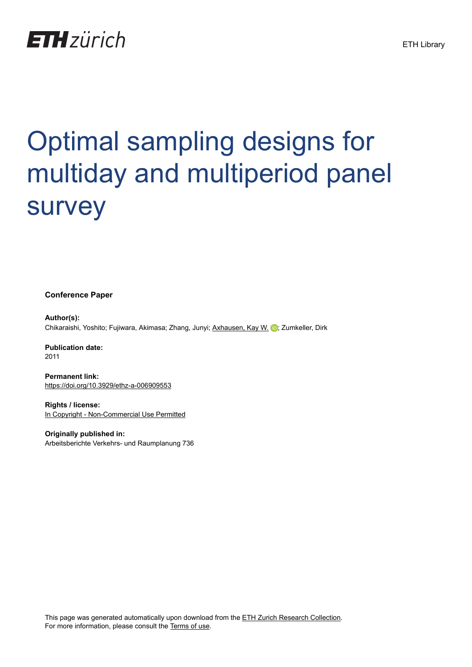# **ETH**zürich

# Optimal sampling designs for multiday and multiperiod panel survey

**Conference Paper**

**Author(s):** Chikaraishi, Yoshito; Fujiwara, Akimasa; Zhang, Junyi; [Axhausen, Kay W.](https://orcid.org/0000-0003-3331-1318) D; Zumkeller, Dirk

**Publication date:** 2011

**Permanent link:** <https://doi.org/10.3929/ethz-a-006909553>

**Rights / license:** [In Copyright - Non-Commercial Use Permitted](http://rightsstatements.org/page/InC-NC/1.0/)

**Originally published in:** Arbeitsberichte Verkehrs- und Raumplanung 736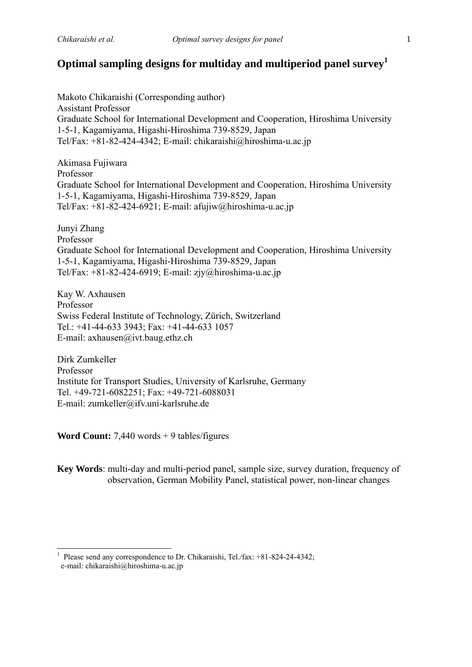### **Optimal sampling designs for multiday and multiperiod panel survey<sup>1</sup>**

Makoto Chikaraishi (Corresponding author) Assistant Professor Graduate School for International Development and Cooperation, Hiroshima University 1-5-1, Kagamiyama, Higashi-Hiroshima 739-8529, Japan Tel/Fax: +81-82-424-4342; E-mail: chikaraishi@hiroshima-u.ac.jp

Akimasa Fujiwara Professor Graduate School for International Development and Cooperation, Hiroshima University 1-5-1, Kagamiyama, Higashi-Hiroshima 739-8529, Japan Tel/Fax:  $+81-82-424-6921$ ; E-mail: afujiw@hiroshima-u.ac.jp

Junyi Zhang Professor Graduate School for International Development and Cooperation, Hiroshima University 1-5-1, Kagamiyama, Higashi-Hiroshima 739-8529, Japan Tel/Fax: +81-82-424-6919; E-mail: zjy@hiroshima-u.ac.jp

Kay W. Axhausen Professor Swiss Federal Institute of Technology, Zürich, Switzerland Tel.: +41-44-633 3943; Fax: +41-44-633 1057 E-mail: axhausen@ivt.baug.ethz.ch

Dirk Zumkeller Professor Institute for Transport Studies, University of Karlsruhe, Germany Tel. +49-721-6082251; Fax: +49-721-6088031 E-mail: zumkeller@ifv.uni-karlsruhe.de

**Word Count:** 7,440 words + 9 tables/figures

-

**Key Words**: multi-day and multi-period panel, sample size, survey duration, frequency of observation, German Mobility Panel, statistical power, non-linear changes

<sup>1</sup> Please send any correspondence to Dr. Chikaraishi, Tel./fax: +81-824-24-4342; e-mail: chikaraishi@hiroshima-u.ac.jp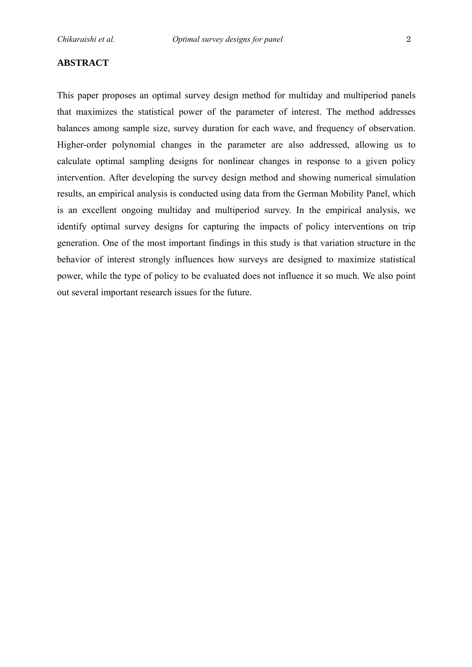#### **ABSTRACT**

This paper proposes an optimal survey design method for multiday and multiperiod panels that maximizes the statistical power of the parameter of interest. The method addresses balances among sample size, survey duration for each wave, and frequency of observation. Higher-order polynomial changes in the parameter are also addressed, allowing us to calculate optimal sampling designs for nonlinear changes in response to a given policy intervention. After developing the survey design method and showing numerical simulation results, an empirical analysis is conducted using data from the German Mobility Panel, which is an excellent ongoing multiday and multiperiod survey. In the empirical analysis, we identify optimal survey designs for capturing the impacts of policy interventions on trip generation. One of the most important findings in this study is that variation structure in the behavior of interest strongly influences how surveys are designed to maximize statistical power, while the type of policy to be evaluated does not influence it so much. We also point out several important research issues for the future.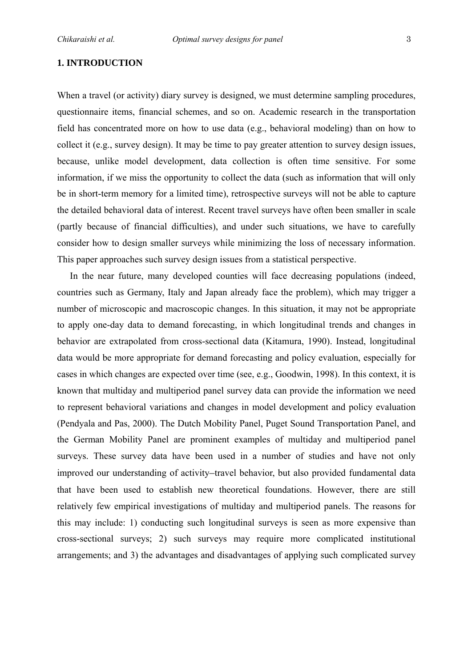#### **1. INTRODUCTION**

When a travel (or activity) diary survey is designed, we must determine sampling procedures, questionnaire items, financial schemes, and so on. Academic research in the transportation field has concentrated more on how to use data (e.g., behavioral modeling) than on how to collect it (e.g., survey design). It may be time to pay greater attention to survey design issues, because, unlike model development, data collection is often time sensitive. For some information, if we miss the opportunity to collect the data (such as information that will only be in short-term memory for a limited time), retrospective surveys will not be able to capture the detailed behavioral data of interest. Recent travel surveys have often been smaller in scale (partly because of financial difficulties), and under such situations, we have to carefully consider how to design smaller surveys while minimizing the loss of necessary information. This paper approaches such survey design issues from a statistical perspective.

In the near future, many developed counties will face decreasing populations (indeed, countries such as Germany, Italy and Japan already face the problem), which may trigger a number of microscopic and macroscopic changes. In this situation, it may not be appropriate to apply one-day data to demand forecasting, in which longitudinal trends and changes in behavior are extrapolated from cross-sectional data (Kitamura, 1990). Instead, longitudinal data would be more appropriate for demand forecasting and policy evaluation, especially for cases in which changes are expected over time (see, e.g., Goodwin, 1998). In this context, it is known that multiday and multiperiod panel survey data can provide the information we need to represent behavioral variations and changes in model development and policy evaluation (Pendyala and Pas, 2000). The Dutch Mobility Panel, Puget Sound Transportation Panel, and the German Mobility Panel are prominent examples of multiday and multiperiod panel surveys. These survey data have been used in a number of studies and have not only improved our understanding of activity–travel behavior, but also provided fundamental data that have been used to establish new theoretical foundations. However, there are still relatively few empirical investigations of multiday and multiperiod panels. The reasons for this may include: 1) conducting such longitudinal surveys is seen as more expensive than cross-sectional surveys; 2) such surveys may require more complicated institutional arrangements; and 3) the advantages and disadvantages of applying such complicated survey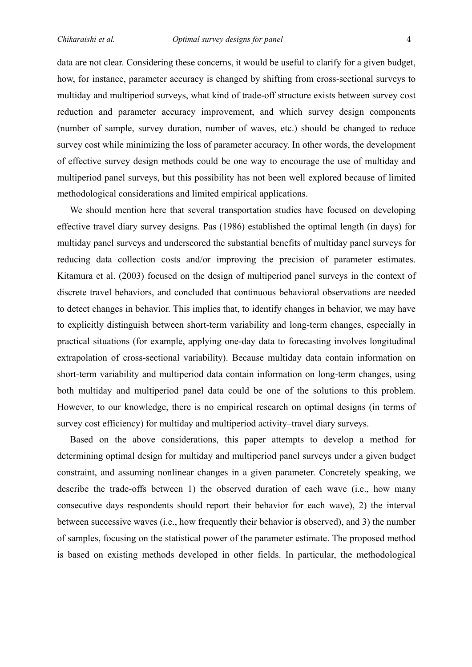data are not clear. Considering these concerns, it would be useful to clarify for a given budget, how, for instance, parameter accuracy is changed by shifting from cross-sectional surveys to multiday and multiperiod surveys, what kind of trade-off structure exists between survey cost reduction and parameter accuracy improvement, and which survey design components (number of sample, survey duration, number of waves, etc.) should be changed to reduce survey cost while minimizing the loss of parameter accuracy. In other words, the development of effective survey design methods could be one way to encourage the use of multiday and multiperiod panel surveys, but this possibility has not been well explored because of limited methodological considerations and limited empirical applications.

We should mention here that several transportation studies have focused on developing effective travel diary survey designs. Pas (1986) established the optimal length (in days) for multiday panel surveys and underscored the substantial benefits of multiday panel surveys for reducing data collection costs and/or improving the precision of parameter estimates. Kitamura et al. (2003) focused on the design of multiperiod panel surveys in the context of discrete travel behaviors, and concluded that continuous behavioral observations are needed to detect changes in behavior. This implies that, to identify changes in behavior, we may have to explicitly distinguish between short-term variability and long-term changes, especially in practical situations (for example, applying one-day data to forecasting involves longitudinal extrapolation of cross-sectional variability). Because multiday data contain information on short-term variability and multiperiod data contain information on long-term changes, using both multiday and multiperiod panel data could be one of the solutions to this problem. However, to our knowledge, there is no empirical research on optimal designs (in terms of survey cost efficiency) for multiday and multiperiod activity–travel diary surveys.

Based on the above considerations, this paper attempts to develop a method for determining optimal design for multiday and multiperiod panel surveys under a given budget constraint, and assuming nonlinear changes in a given parameter. Concretely speaking, we describe the trade-offs between 1) the observed duration of each wave (i.e., how many consecutive days respondents should report their behavior for each wave), 2) the interval between successive waves (i.e., how frequently their behavior is observed), and 3) the number of samples, focusing on the statistical power of the parameter estimate. The proposed method is based on existing methods developed in other fields. In particular, the methodological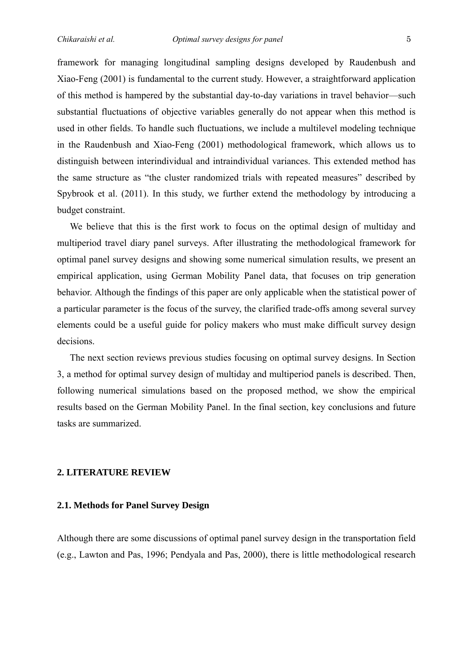framework for managing longitudinal sampling designs developed by Raudenbush and Xiao-Feng (2001) is fundamental to the current study. However, a straightforward application of this method is hampered by the substantial day-to-day variations in travel behavior—such substantial fluctuations of objective variables generally do not appear when this method is used in other fields. To handle such fluctuations, we include a multilevel modeling technique in the Raudenbush and Xiao-Feng (2001) methodological framework, which allows us to distinguish between interindividual and intraindividual variances. This extended method has the same structure as "the cluster randomized trials with repeated measures" described by Spybrook et al. (2011). In this study, we further extend the methodology by introducing a budget constraint.

We believe that this is the first work to focus on the optimal design of multiday and multiperiod travel diary panel surveys. After illustrating the methodological framework for optimal panel survey designs and showing some numerical simulation results, we present an empirical application, using German Mobility Panel data, that focuses on trip generation behavior. Although the findings of this paper are only applicable when the statistical power of a particular parameter is the focus of the survey, the clarified trade-offs among several survey elements could be a useful guide for policy makers who must make difficult survey design decisions.

The next section reviews previous studies focusing on optimal survey designs. In Section 3, a method for optimal survey design of multiday and multiperiod panels is described. Then, following numerical simulations based on the proposed method, we show the empirical results based on the German Mobility Panel. In the final section, key conclusions and future tasks are summarized.

#### **2. LITERATURE REVIEW**

#### **2.1. Methods for Panel Survey Design**

Although there are some discussions of optimal panel survey design in the transportation field (e.g., Lawton and Pas, 1996; Pendyala and Pas, 2000), there is little methodological research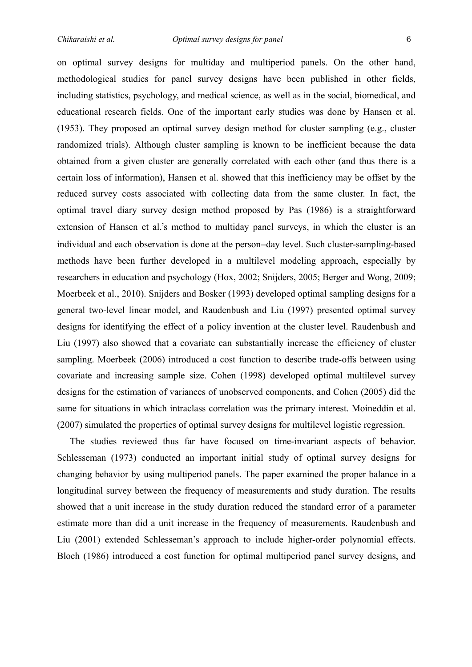on optimal survey designs for multiday and multiperiod panels. On the other hand, methodological studies for panel survey designs have been published in other fields, including statistics, psychology, and medical science, as well as in the social, biomedical, and educational research fields. One of the important early studies was done by Hansen et al. (1953). They proposed an optimal survey design method for cluster sampling (e.g., cluster randomized trials). Although cluster sampling is known to be inefficient because the data obtained from a given cluster are generally correlated with each other (and thus there is a certain loss of information), Hansen et al. showed that this inefficiency may be offset by the reduced survey costs associated with collecting data from the same cluster. In fact, the optimal travel diary survey design method proposed by Pas (1986) is a straightforward extension of Hansen et al.'s method to multiday panel surveys, in which the cluster is an individual and each observation is done at the person–day level. Such cluster-sampling-based methods have been further developed in a multilevel modeling approach, especially by researchers in education and psychology (Hox, 2002; Snijders, 2005; Berger and Wong, 2009; Moerbeek et al., 2010). Snijders and Bosker (1993) developed optimal sampling designs for a general two-level linear model, and Raudenbush and Liu (1997) presented optimal survey designs for identifying the effect of a policy invention at the cluster level. Raudenbush and Liu (1997) also showed that a covariate can substantially increase the efficiency of cluster sampling. Moerbeek (2006) introduced a cost function to describe trade-offs between using covariate and increasing sample size. Cohen (1998) developed optimal multilevel survey designs for the estimation of variances of unobserved components, and Cohen (2005) did the same for situations in which intraclass correlation was the primary interest. Moineddin et al. (2007) simulated the properties of optimal survey designs for multilevel logistic regression.

The studies reviewed thus far have focused on time-invariant aspects of behavior. Schlesseman (1973) conducted an important initial study of optimal survey designs for changing behavior by using multiperiod panels. The paper examined the proper balance in a longitudinal survey between the frequency of measurements and study duration. The results showed that a unit increase in the study duration reduced the standard error of a parameter estimate more than did a unit increase in the frequency of measurements. Raudenbush and Liu (2001) extended Schlesseman's approach to include higher-order polynomial effects. Bloch (1986) introduced a cost function for optimal multiperiod panel survey designs, and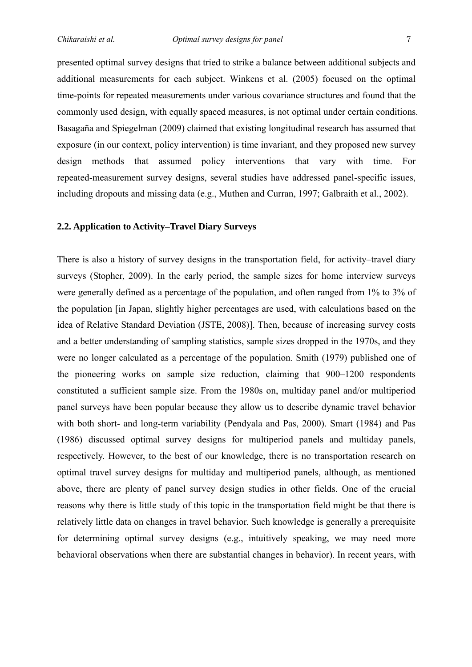presented optimal survey designs that tried to strike a balance between additional subjects and additional measurements for each subject. Winkens et al. (2005) focused on the optimal time-points for repeated measurements under various covariance structures and found that the commonly used design, with equally spaced measures, is not optimal under certain conditions. Basagaña and Spiegelman (2009) claimed that existing longitudinal research has assumed that exposure (in our context, policy intervention) is time invariant, and they proposed new survey design methods that assumed policy interventions that vary with time. For repeated-measurement survey designs, several studies have addressed panel-specific issues, including dropouts and missing data (e.g., Muthen and Curran, 1997; Galbraith et al., 2002).

#### **2.2. Application to Activity–Travel Diary Surveys**

There is also a history of survey designs in the transportation field, for activity–travel diary surveys (Stopher, 2009). In the early period, the sample sizes for home interview surveys were generally defined as a percentage of the population, and often ranged from 1% to 3% of the population [in Japan, slightly higher percentages are used, with calculations based on the idea of Relative Standard Deviation (JSTE, 2008)]. Then, because of increasing survey costs and a better understanding of sampling statistics, sample sizes dropped in the 1970s, and they were no longer calculated as a percentage of the population. Smith (1979) published one of the pioneering works on sample size reduction, claiming that 900–1200 respondents constituted a sufficient sample size. From the 1980s on, multiday panel and/or multiperiod panel surveys have been popular because they allow us to describe dynamic travel behavior with both short- and long-term variability (Pendyala and Pas, 2000). Smart (1984) and Pas (1986) discussed optimal survey designs for multiperiod panels and multiday panels, respectively. However, to the best of our knowledge, there is no transportation research on optimal travel survey designs for multiday and multiperiod panels, although, as mentioned above, there are plenty of panel survey design studies in other fields. One of the crucial reasons why there is little study of this topic in the transportation field might be that there is relatively little data on changes in travel behavior. Such knowledge is generally a prerequisite for determining optimal survey designs (e.g., intuitively speaking, we may need more behavioral observations when there are substantial changes in behavior). In recent years, with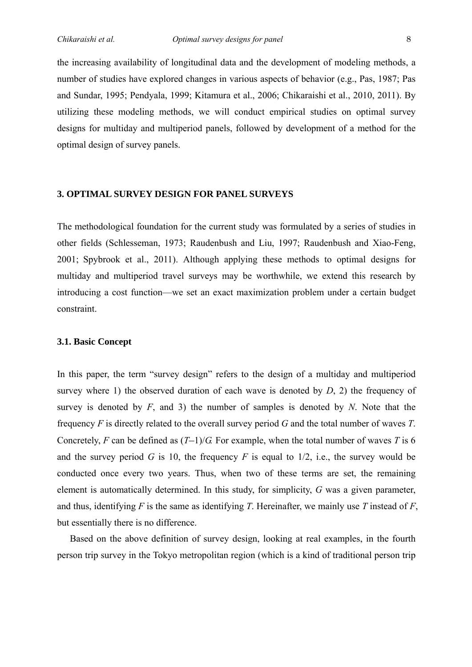the increasing availability of longitudinal data and the development of modeling methods, a number of studies have explored changes in various aspects of behavior (e.g., Pas, 1987; Pas and Sundar, 1995; Pendyala, 1999; Kitamura et al., 2006; Chikaraishi et al., 2010, 2011). By utilizing these modeling methods, we will conduct empirical studies on optimal survey designs for multiday and multiperiod panels, followed by development of a method for the optimal design of survey panels.

#### **3. OPTIMAL SURVEY DESIGN FOR PANEL SURVEYS**

The methodological foundation for the current study was formulated by a series of studies in other fields (Schlesseman, 1973; Raudenbush and Liu, 1997; Raudenbush and Xiao-Feng, 2001; Spybrook et al., 2011). Although applying these methods to optimal designs for multiday and multiperiod travel surveys may be worthwhile, we extend this research by introducing a cost function—we set an exact maximization problem under a certain budget constraint.

#### **3.1. Basic Concept**

In this paper, the term "survey design" refers to the design of a multiday and multiperiod survey where 1) the observed duration of each wave is denoted by *D*, 2) the frequency of survey is denoted by *F*, and 3) the number of samples is denoted by *N*. Note that the frequency *F* is directly related to the overall survey period *G* and the total number of waves *T*. Concretely, *F* can be defined as  $(T-1)/G$ . For example, when the total number of waves *T* is 6 and the survey period *G* is 10, the frequency *F* is equal to 1/2, i.e., the survey would be conducted once every two years. Thus, when two of these terms are set, the remaining element is automatically determined. In this study, for simplicity, *G* was a given parameter, and thus, identifying *F* is the same as identifying *T*. Hereinafter, we mainly use *T* instead of *F*, but essentially there is no difference.

Based on the above definition of survey design, looking at real examples, in the fourth person trip survey in the Tokyo metropolitan region (which is a kind of traditional person trip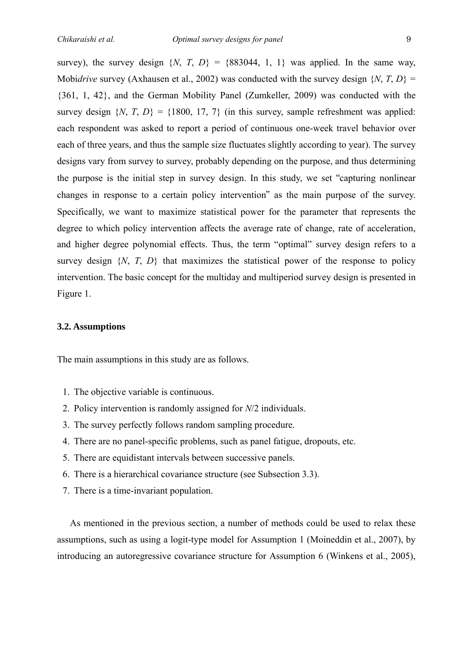survey), the survey design  $\{N, T, D\} = \{883044, 1, 1\}$  was applied. In the same way, Mobi*drive* survey (Axhausen et al., 2002) was conducted with the survey design {*N*, *T*, *D*} = {361, 1, 42}, and the German Mobility Panel (Zumkeller, 2009) was conducted with the survey design  $\{N, T, D\} = \{1800, 17, 7\}$  (in this survey, sample refreshment was applied: each respondent was asked to report a period of continuous one-week travel behavior over each of three years, and thus the sample size fluctuates slightly according to year). The survey designs vary from survey to survey, probably depending on the purpose, and thus determining the purpose is the initial step in survey design. In this study, we set "capturing nonlinear changes in response to a certain policy intervention" as the main purpose of the survey. Specifically, we want to maximize statistical power for the parameter that represents the degree to which policy intervention affects the average rate of change, rate of acceleration, and higher degree polynomial effects. Thus, the term "optimal" survey design refers to a survey design  $\{N, T, D\}$  that maximizes the statistical power of the response to policy intervention. The basic concept for the multiday and multiperiod survey design is presented in Figure 1.

#### **3.2. Assumptions**

The main assumptions in this study are as follows.

- 1. The objective variable is continuous.
- 2. Policy intervention is randomly assigned for *N*/2 individuals.
- 3. The survey perfectly follows random sampling procedure.
- 4. There are no panel-specific problems, such as panel fatigue, dropouts, etc.
- 5. There are equidistant intervals between successive panels.
- 6. There is a hierarchical covariance structure (see Subsection 3.3).
- 7. There is a time-invariant population.

As mentioned in the previous section, a number of methods could be used to relax these assumptions, such as using a logit-type model for Assumption 1 (Moineddin et al., 2007), by introducing an autoregressive covariance structure for Assumption 6 (Winkens et al., 2005),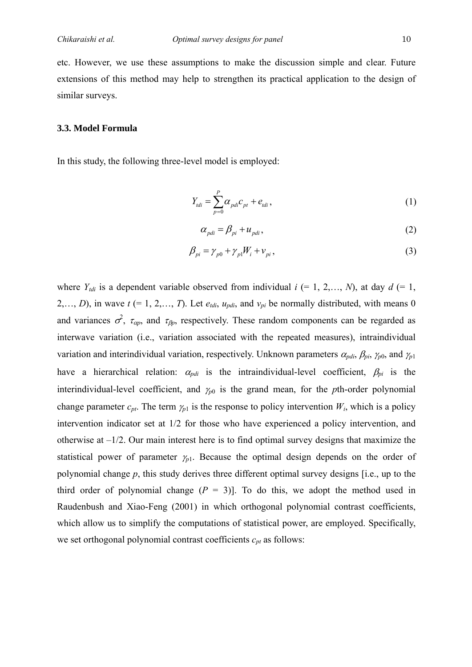etc. However, we use these assumptions to make the discussion simple and clear. Future extensions of this method may help to strengthen its practical application to the design of similar surveys.

#### **3.3. Model Formula**

In this study, the following three-level model is employed:

$$
Y_{tdi} = \sum_{p=0}^{P} \alpha_{pdi} c_{pt} + e_{tdi},
$$
 (1)

$$
\alpha_{pdi} = \beta_{pi} + u_{pdi},\tag{2}
$$

$$
\beta_{pi} = \gamma_{p0} + \gamma_{p1} W_i + \nu_{pi},\tag{3}
$$

where  $Y_{tdi}$  is a dependent variable observed from individual  $i$  (= 1, 2,…, *N*), at day  $d$  (= 1, 2,..., *D*), in wave  $t$  (= 1, 2,..., *T*). Let  $e_{tdi}$ ,  $u_{pdi}$ , and  $v_{pi}$  be normally distributed, with means 0 and variances  $\sigma^2$ ,  $\tau_{\alpha p}$ , and  $\tau_{\beta p}$ , respectively. These random components can be regarded as interwave variation (i.e., variation associated with the repeated measures), intraindividual variation and interindividual variation, respectively. Unknown parameters  $\alpha_{pdi}$ ,  $\beta_{pi}$ ,  $\gamma_{p0}$ , and  $\gamma_{p1}$ have a hierarchical relation:  $\alpha_{pdi}$  is the intraindividual-level coefficient,  $\beta_{pi}$  is the interindividual-level coefficient, and  $\gamma_{p0}$  is the grand mean, for the *p*th-order polynomial change parameter  $c_{pt}$ . The term  $\gamma_{p1}$  is the response to policy intervention  $W_i$ , which is a policy intervention indicator set at 1/2 for those who have experienced a policy intervention, and otherwise at –1/2. Our main interest here is to find optimal survey designs that maximize the statistical power of parameter  $\gamma_{p1}$ . Because the optimal design depends on the order of polynomial change *p*, this study derives three different optimal survey designs [i.e., up to the third order of polynomial change  $(P = 3)$ ]. To do this, we adopt the method used in Raudenbush and Xiao-Feng (2001) in which orthogonal polynomial contrast coefficients, which allow us to simplify the computations of statistical power, are employed. Specifically, we set orthogonal polynomial contrast coefficients  $c_{pt}$  as follows: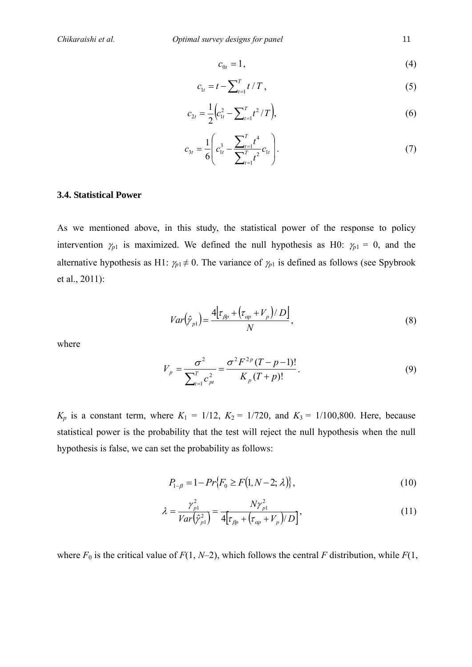$$
c_{0t} = 1,\t\t(4)
$$

$$
c_{1t} = t - \sum_{t=1}^{T} t / T, \qquad (5)
$$

$$
c_{2t} = \frac{1}{2} \Big( c_{1t}^2 - \sum_{t=1}^T t^2 / T \Big), \tag{6}
$$

$$
c_{3t} = \frac{1}{6} \left( c_{1t}^3 - \frac{\sum_{t=1}^T t^4}{\sum_{t=1}^T t^2} c_{1t} \right). \tag{7}
$$

#### **3.4. Statistical Power**

As we mentioned above, in this study, the statistical power of the response to policy intervention  $\gamma_{p1}$  is maximized. We defined the null hypothesis as H0:  $\gamma_{p1} = 0$ , and the alternative hypothesis as H1:  $\gamma_{p1} \neq 0$ . The variance of  $\gamma_{p1}$  is defined as follows (see Spybrook et al., 2011):

$$
Var\left(\hat{\gamma}_{p1}\right) = \frac{4\left[\tau_{\beta p} + \left(\tau_{\alpha p} + V_p\right)/\,D\right]}{N},\tag{8}
$$

where

$$
V_{p} = \frac{\sigma^{2}}{\sum_{t=1}^{T} c_{pt}^{2}} = \frac{\sigma^{2} F^{2p} (T - p - 1)!}{K_{p} (T + p)!}.
$$
 (9)

 $K_p$  is a constant term, where  $K_1 = 1/12$ ,  $K_2 = 1/720$ , and  $K_3 = 1/100,800$ . Here, because statistical power is the probability that the test will reject the null hypothesis when the null hypothesis is false, we can set the probability as follows:

$$
P_{1-\beta} = 1 - Pr\{F_0 \ge F(1, N-2; \lambda)\},\tag{10}
$$

$$
\lambda = \frac{\gamma_{p1}^2}{Var(\hat{\gamma}_{p1}^2)} = \frac{N\gamma_{p1}^2}{4\left[\tau_{\beta p} + \left(\tau_{\alpha p} + V_p\right)/D\right]},\tag{11}
$$

where  $F_0$  is the critical value of  $F(1, N-2)$ , which follows the central  $F$  distribution, while  $F(1, N-2)$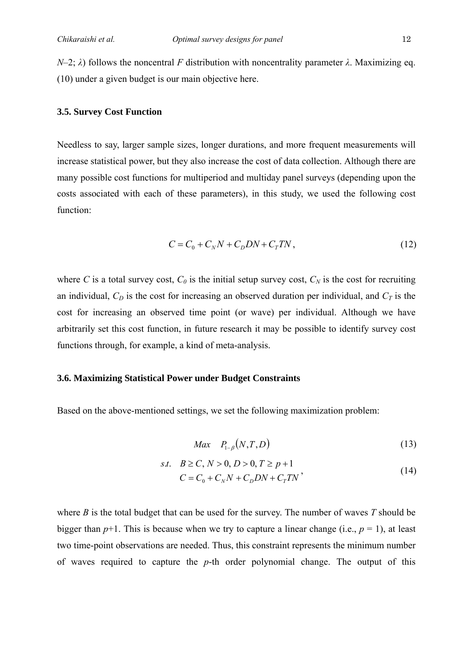*N*–2; *λ*) follows the noncentral *F* distribution with noncentrality parameter *λ*. Maximizing eq. (10) under a given budget is our main objective here.

#### **3.5. Survey Cost Function**

Needless to say, larger sample sizes, longer durations, and more frequent measurements will increase statistical power, but they also increase the cost of data collection. Although there are many possible cost functions for multiperiod and multiday panel surveys (depending upon the costs associated with each of these parameters), in this study, we used the following cost function:

$$
C = C_0 + C_N N + C_D DN + C_T TN,
$$
\n(12)

where *C* is a total survey cost,  $C_0$  is the initial setup survey cost,  $C_N$  is the cost for recruiting an individual,  $C_D$  is the cost for increasing an observed duration per individual, and  $C_T$  is the cost for increasing an observed time point (or wave) per individual. Although we have arbitrarily set this cost function, in future research it may be possible to identify survey cost functions through, for example, a kind of meta-analysis.

#### **3.6. Maximizing Statistical Power under Budget Constraints**

Based on the above-mentioned settings, we set the following maximization problem:

$$
Max \quad P_{1-\beta}(N,T,D) \tag{13}
$$

s.t. 
$$
B \ge C, N > 0, D > 0, T \ge p + 1
$$
  
\n $C = C_0 + C_N N + C_D DN + C_T TN$ , (14)

where *B* is the total budget that can be used for the survey. The number of waves *T* should be bigger than  $p+1$ . This is because when we try to capture a linear change (i.e.,  $p = 1$ ), at least two time-point observations are needed. Thus, this constraint represents the minimum number of waves required to capture the *p*-th order polynomial change. The output of this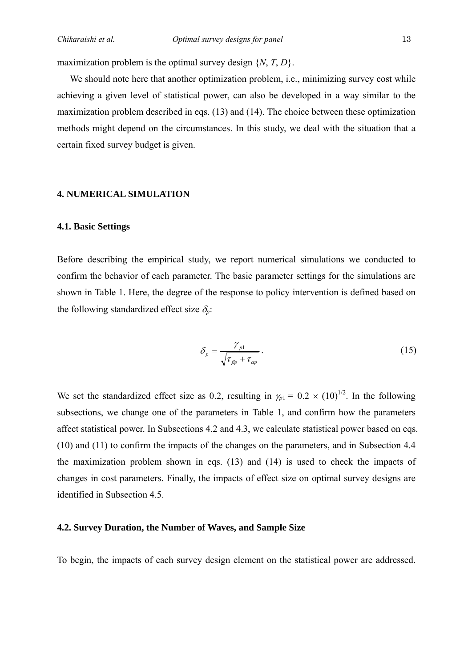maximization problem is the optimal survey design {*N*, *T*, *D*}.

We should note here that another optimization problem, i.e., minimizing survey cost while achieving a given level of statistical power, can also be developed in a way similar to the maximization problem described in eqs. (13) and (14). The choice between these optimization methods might depend on the circumstances. In this study, we deal with the situation that a certain fixed survey budget is given.

#### **4. NUMERICAL SIMULATION**

#### **4.1. Basic Settings**

Before describing the empirical study, we report numerical simulations we conducted to confirm the behavior of each parameter. The basic parameter settings for the simulations are shown in Table 1. Here, the degree of the response to policy intervention is defined based on the following standardized effect size  $\delta_n$ .

$$
\delta_p = \frac{\gamma_{p1}}{\sqrt{\tau_{\beta p} + \tau_{\alpha p}}}.
$$
\n(15)

We set the standardized effect size as 0.2, resulting in  $\gamma_{p1} = 0.2 \times (10)^{1/2}$ . In the following subsections, we change one of the parameters in Table 1, and confirm how the parameters affect statistical power. In Subsections 4.2 and 4.3, we calculate statistical power based on eqs. (10) and (11) to confirm the impacts of the changes on the parameters, and in Subsection 4.4 the maximization problem shown in eqs. (13) and (14) is used to check the impacts of changes in cost parameters. Finally, the impacts of effect size on optimal survey designs are identified in Subsection 4.5.

#### **4.2. Survey Duration, the Number of Waves, and Sample Size**

To begin, the impacts of each survey design element on the statistical power are addressed.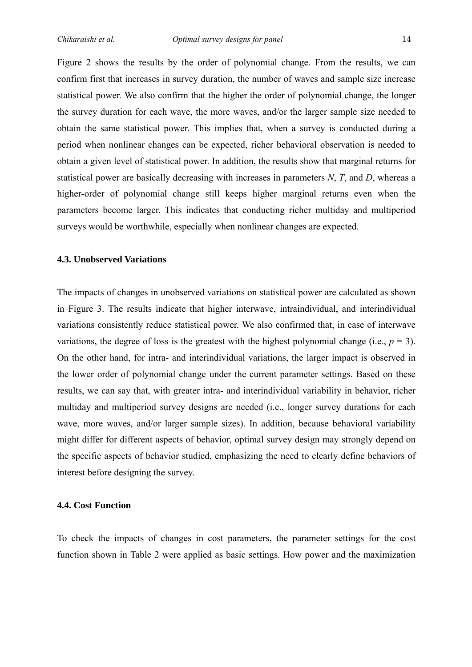Figure 2 shows the results by the order of polynomial change. From the results, we can confirm first that increases in survey duration, the number of waves and sample size increase statistical power. We also confirm that the higher the order of polynomial change, the longer the survey duration for each wave, the more waves, and/or the larger sample size needed to obtain the same statistical power. This implies that, when a survey is conducted during a period when nonlinear changes can be expected, richer behavioral observation is needed to obtain a given level of statistical power. In addition, the results show that marginal returns for statistical power are basically decreasing with increases in parameters *N*, *T*, and *D*, whereas a higher-order of polynomial change still keeps higher marginal returns even when the parameters become larger. This indicates that conducting richer multiday and multiperiod surveys would be worthwhile, especially when nonlinear changes are expected.

#### **4.3. Unobserved Variations**

The impacts of changes in unobserved variations on statistical power are calculated as shown in Figure 3. The results indicate that higher interwave, intraindividual, and interindividual variations consistently reduce statistical power. We also confirmed that, in case of interwave variations, the degree of loss is the greatest with the highest polynomial change (i.e.,  $p = 3$ ). On the other hand, for intra- and interindividual variations, the larger impact is observed in the lower order of polynomial change under the current parameter settings. Based on these results, we can say that, with greater intra- and interindividual variability in behavior, richer multiday and multiperiod survey designs are needed (i.e., longer survey durations for each wave, more waves, and/or larger sample sizes). In addition, because behavioral variability might differ for different aspects of behavior, optimal survey design may strongly depend on the specific aspects of behavior studied, emphasizing the need to clearly define behaviors of interest before designing the survey.

#### **4.4. Cost Function**

To check the impacts of changes in cost parameters, the parameter settings for the cost function shown in Table 2 were applied as basic settings. How power and the maximization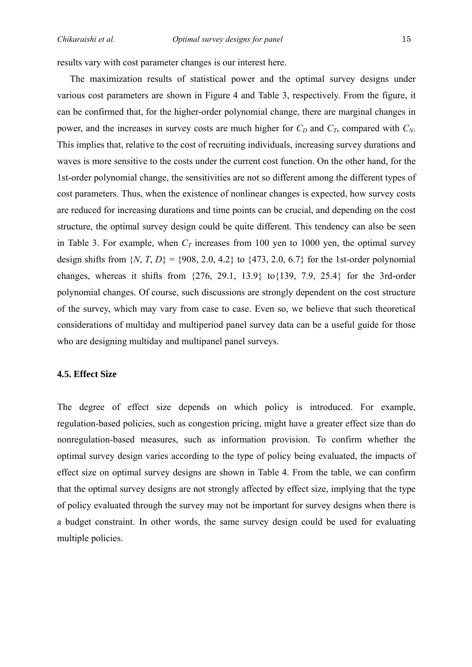results vary with cost parameter changes is our interest here.

The maximization results of statistical power and the optimal survey designs under various cost parameters are shown in Figure 4 and Table 3, respectively. From the figure, it can be confirmed that, for the higher-order polynomial change, there are marginal changes in power, and the increases in survey costs are much higher for  $C_D$  and  $C_T$ , compared with  $C_N$ . This implies that, relative to the cost of recruiting individuals, increasing survey durations and waves is more sensitive to the costs under the current cost function. On the other hand, for the 1st-order polynomial change, the sensitivities are not so different among the different types of cost parameters. Thus, when the existence of nonlinear changes is expected, how survey costs are reduced for increasing durations and time points can be crucial, and depending on the cost structure, the optimal survey design could be quite different. This tendency can also be seen in Table 3. For example, when  $C_T$  increases from 100 yen to 1000 yen, the optimal survey design shifts from  $\{N, T, D\} = \{908, 2.0, 4.2\}$  to  $\{473, 2.0, 6.7\}$  for the 1st-order polynomial changes, whereas it shifts from {276, 29.1, 13.9} to{139, 7.9, 25.4} for the 3rd-order polynomial changes. Of course, such discussions are strongly dependent on the cost structure of the survey, which may vary from case to case. Even so, we believe that such theoretical considerations of multiday and multiperiod panel survey data can be a useful guide for those who are designing multiday and multipanel panel surveys.

#### **4.5. Effect Size**

The degree of effect size depends on which policy is introduced. For example, regulation-based policies, such as congestion pricing, might have a greater effect size than do nonregulation-based measures, such as information provision. To confirm whether the optimal survey design varies according to the type of policy being evaluated, the impacts of effect size on optimal survey designs are shown in Table 4. From the table, we can confirm that the optimal survey designs are not strongly affected by effect size, implying that the type of policy evaluated through the survey may not be important for survey designs when there is a budget constraint. In other words, the same survey design could be used for evaluating multiple policies.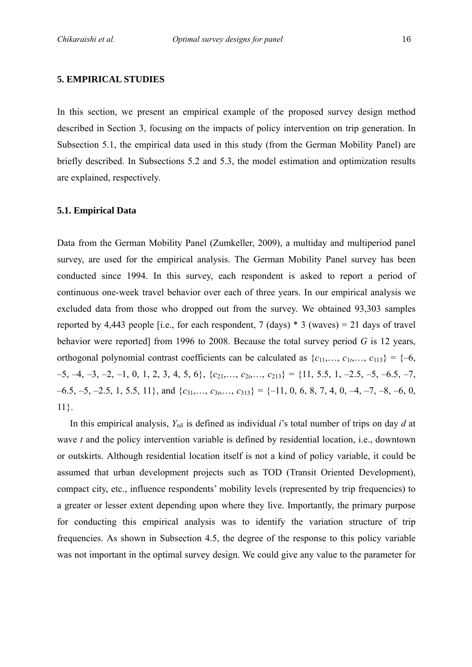#### **5. EMPIRICAL STUDIES**

In this section, we present an empirical example of the proposed survey design method described in Section 3, focusing on the impacts of policy intervention on trip generation. In Subsection 5.1, the empirical data used in this study (from the German Mobility Panel) are briefly described. In Subsections 5.2 and 5.3, the model estimation and optimization results are explained, respectively.

#### **5.1. Empirical Data**

Data from the German Mobility Panel (Zumkeller, 2009), a multiday and multiperiod panel survey, are used for the empirical analysis. The German Mobility Panel survey has been conducted since 1994. In this survey, each respondent is asked to report a period of continuous one-week travel behavior over each of three years. In our empirical analysis we excluded data from those who dropped out from the survey. We obtained 93,303 samples reported by 4,443 people [i.e., for each respondent, 7 (days)  $*$  3 (waves) = 21 days of travel behavior were reported] from 1996 to 2008. Because the total survey period *G* is 12 years, orthogonal polynomial contrast coefficients can be calculated as  $\{c_{11},..., c_{1t},..., c_{113}\} = \{-6,$  $-5, -4, -3, -2, -1, 0, 1, 2, 3, 4, 5, 6$ ,  $\{c_{21}, \ldots, c_{2t}, \ldots, c_{213}\} = \{11, 5.5, 1, -2.5, -5, -6.5, -7,$  $-6.5, -5, -2.5, 1, 5.5, 11$ , and  $\{c_{31}, \ldots, c_{3t}, \ldots, c_{313}\} = \{-11, 0, 6, 8, 7, 4, 0, -4, -7, -8, -6, 0,$ 11}.

In this empirical analysis, *Ytdi* is defined as individual *i*'s total number of trips on day *d* at wave *t* and the policy intervention variable is defined by residential location, i.e., downtown or outskirts. Although residential location itself is not a kind of policy variable, it could be assumed that urban development projects such as TOD (Transit Oriented Development), compact city, etc., influence respondents' mobility levels (represented by trip frequencies) to a greater or lesser extent depending upon where they live. Importantly, the primary purpose for conducting this empirical analysis was to identify the variation structure of trip frequencies. As shown in Subsection 4.5, the degree of the response to this policy variable was not important in the optimal survey design. We could give any value to the parameter for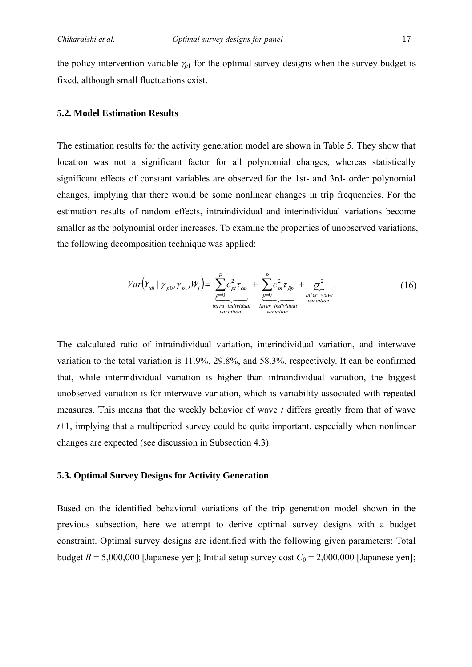the policy intervention variable  $\gamma_{p1}$  for the optimal survey designs when the survey budget is fixed, although small fluctuations exist.

#### **5.2. Model Estimation Results**

The estimation results for the activity generation model are shown in Table 5. They show that location was not a significant factor for all polynomial changes, whereas statistically significant effects of constant variables are observed for the 1st- and 3rd- order polynomial changes, implying that there would be some nonlinear changes in trip frequencies. For the estimation results of random effects, intraindividual and interindividual variations become smaller as the polynomial order increases. To examine the properties of unobserved variations, the following decomposition technique was applied:

$$
Var(Y_{tdi} | \gamma_{p0}, \gamma_{p1}, W_i) = \underbrace{\sum_{p=0}^{P} c_{pt}^2 \tau_{op}}_{\substack{intra-individual \atop inter-individual \atop inter-indational \atop inter-indational \atop variation \atop variation \atop variation} (16)
$$

The calculated ratio of intraindividual variation, interindividual variation, and interwave variation to the total variation is 11.9%, 29.8%, and 58.3%, respectively. It can be confirmed that, while interindividual variation is higher than intraindividual variation, the biggest unobserved variation is for interwave variation, which is variability associated with repeated measures. This means that the weekly behavior of wave *t* differs greatly from that of wave *t*+1, implying that a multiperiod survey could be quite important, especially when nonlinear changes are expected (see discussion in Subsection 4.3).

#### **5.3. Optimal Survey Designs for Activity Generation**

Based on the identified behavioral variations of the trip generation model shown in the previous subsection, here we attempt to derive optimal survey designs with a budget constraint. Optimal survey designs are identified with the following given parameters: Total budget  $B = 5,000,000$  [Japanese yen]; Initial setup survey cost  $C_0 = 2,000,000$  [Japanese yen];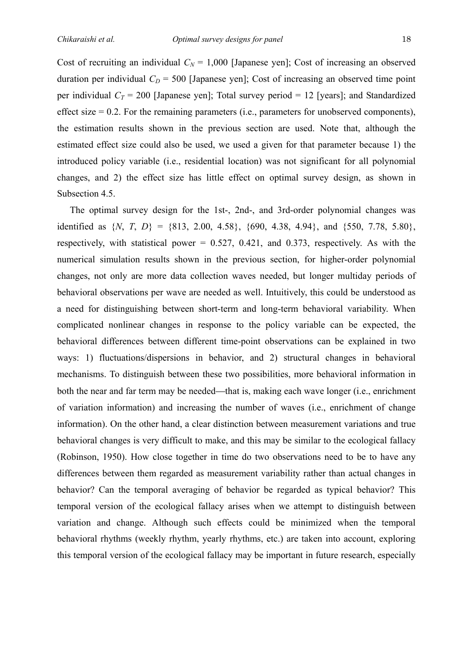Cost of recruiting an individual  $C_N = 1,000$  [Japanese yen]; Cost of increasing an observed duration per individual  $C<sub>D</sub> = 500$  [Japanese yen]; Cost of increasing an observed time point per individual  $C_T = 200$  [Japanese yen]; Total survey period = 12 [years]; and Standardized effect size  $= 0.2$ . For the remaining parameters (i.e., parameters for unobserved components), the estimation results shown in the previous section are used. Note that, although the estimated effect size could also be used, we used a given for that parameter because 1) the introduced policy variable (i.e., residential location) was not significant for all polynomial changes, and 2) the effect size has little effect on optimal survey design, as shown in Subsection 4.5.

The optimal survey design for the 1st-, 2nd-, and 3rd-order polynomial changes was identified as  $\{N, T, D\} = \{813, 2.00, 4.58\}, \{690, 4.38, 4.94\}, \text{ and } \{550, 7.78, 5.80\},\$ respectively, with statistical power  $= 0.527, 0.421,$  and 0.373, respectively. As with the numerical simulation results shown in the previous section, for higher-order polynomial changes, not only are more data collection waves needed, but longer multiday periods of behavioral observations per wave are needed as well. Intuitively, this could be understood as a need for distinguishing between short-term and long-term behavioral variability. When complicated nonlinear changes in response to the policy variable can be expected, the behavioral differences between different time-point observations can be explained in two ways: 1) fluctuations/dispersions in behavior, and 2) structural changes in behavioral mechanisms. To distinguish between these two possibilities, more behavioral information in both the near and far term may be needed—that is, making each wave longer (i.e., enrichment of variation information) and increasing the number of waves (i.e., enrichment of change information). On the other hand, a clear distinction between measurement variations and true behavioral changes is very difficult to make, and this may be similar to the ecological fallacy (Robinson, 1950). How close together in time do two observations need to be to have any differences between them regarded as measurement variability rather than actual changes in behavior? Can the temporal averaging of behavior be regarded as typical behavior? This temporal version of the ecological fallacy arises when we attempt to distinguish between variation and change. Although such effects could be minimized when the temporal behavioral rhythms (weekly rhythm, yearly rhythms, etc.) are taken into account, exploring this temporal version of the ecological fallacy may be important in future research, especially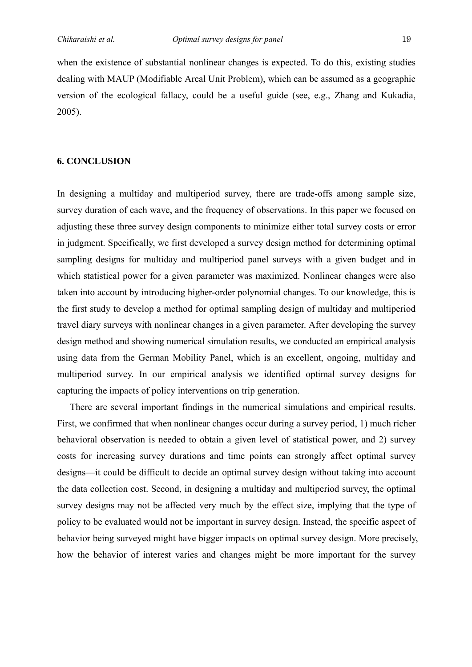when the existence of substantial nonlinear changes is expected. To do this, existing studies dealing with MAUP (Modifiable Areal Unit Problem), which can be assumed as a geographic version of the ecological fallacy, could be a useful guide (see, e.g., Zhang and Kukadia, 2005).

#### **6. CONCLUSION**

In designing a multiday and multiperiod survey, there are trade-offs among sample size, survey duration of each wave, and the frequency of observations. In this paper we focused on adjusting these three survey design components to minimize either total survey costs or error in judgment. Specifically, we first developed a survey design method for determining optimal sampling designs for multiday and multiperiod panel surveys with a given budget and in which statistical power for a given parameter was maximized. Nonlinear changes were also taken into account by introducing higher-order polynomial changes. To our knowledge, this is the first study to develop a method for optimal sampling design of multiday and multiperiod travel diary surveys with nonlinear changes in a given parameter. After developing the survey design method and showing numerical simulation results, we conducted an empirical analysis using data from the German Mobility Panel, which is an excellent, ongoing, multiday and multiperiod survey. In our empirical analysis we identified optimal survey designs for capturing the impacts of policy interventions on trip generation.

There are several important findings in the numerical simulations and empirical results. First, we confirmed that when nonlinear changes occur during a survey period, 1) much richer behavioral observation is needed to obtain a given level of statistical power, and 2) survey costs for increasing survey durations and time points can strongly affect optimal survey designs—it could be difficult to decide an optimal survey design without taking into account the data collection cost. Second, in designing a multiday and multiperiod survey, the optimal survey designs may not be affected very much by the effect size, implying that the type of policy to be evaluated would not be important in survey design. Instead, the specific aspect of behavior being surveyed might have bigger impacts on optimal survey design. More precisely, how the behavior of interest varies and changes might be more important for the survey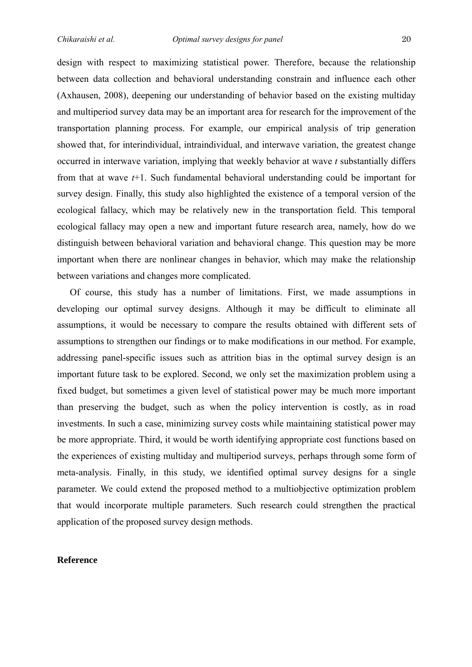design with respect to maximizing statistical power. Therefore, because the relationship between data collection and behavioral understanding constrain and influence each other (Axhausen, 2008), deepening our understanding of behavior based on the existing multiday and multiperiod survey data may be an important area for research for the improvement of the transportation planning process. For example, our empirical analysis of trip generation showed that, for interindividual, intraindividual, and interwave variation, the greatest change occurred in interwave variation, implying that weekly behavior at wave *t* substantially differs from that at wave *t*+1. Such fundamental behavioral understanding could be important for survey design. Finally, this study also highlighted the existence of a temporal version of the ecological fallacy, which may be relatively new in the transportation field. This temporal ecological fallacy may open a new and important future research area, namely, how do we distinguish between behavioral variation and behavioral change. This question may be more important when there are nonlinear changes in behavior, which may make the relationship between variations and changes more complicated.

Of course, this study has a number of limitations. First, we made assumptions in developing our optimal survey designs. Although it may be difficult to eliminate all assumptions, it would be necessary to compare the results obtained with different sets of assumptions to strengthen our findings or to make modifications in our method. For example, addressing panel-specific issues such as attrition bias in the optimal survey design is an important future task to be explored. Second, we only set the maximization problem using a fixed budget, but sometimes a given level of statistical power may be much more important than preserving the budget, such as when the policy intervention is costly, as in road investments. In such a case, minimizing survey costs while maintaining statistical power may be more appropriate. Third, it would be worth identifying appropriate cost functions based on the experiences of existing multiday and multiperiod surveys, perhaps through some form of meta-analysis. Finally, in this study, we identified optimal survey designs for a single parameter. We could extend the proposed method to a multiobjective optimization problem that would incorporate multiple parameters. Such research could strengthen the practical application of the proposed survey design methods.

#### **Reference**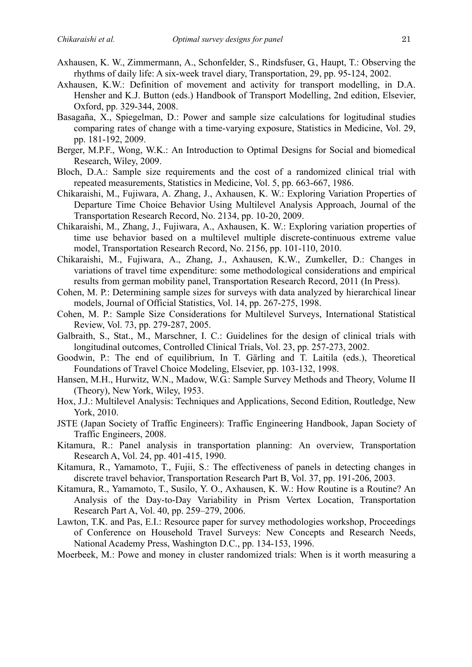- Axhausen, K. W., Zimmermann, A., Schonfelder, S., Rindsfuser, G., Haupt, T.: Observing the rhythms of daily life: A six-week travel diary, Transportation, 29, pp. 95-124, 2002.
- Axhausen, K.W.: Definition of movement and activity for transport modelling, in D.A. Hensher and K.J. Button (eds.) Handbook of Transport Modelling, 2nd edition, Elsevier, Oxford, pp. 329-344, 2008.
- Basagaña, X., Spiegelman, D.: Power and sample size calculations for logitudinal studies comparing rates of change with a time-varying exposure, Statistics in Medicine, Vol. 29, pp. 181-192, 2009.
- Berger, M.P.F., Wong, W.K.: An Introduction to Optimal Designs for Social and biomedical Research, Wiley, 2009.
- Bloch, D.A.: Sample size requirements and the cost of a randomized clinical trial with repeated measurements, Statistics in Medicine, Vol. 5, pp. 663-667, 1986.
- Chikaraishi, M., Fujiwara, A. Zhang, J., Axhausen, K. W.: Exploring Variation Properties of Departure Time Choice Behavior Using Multilevel Analysis Approach, Journal of the Transportation Research Record, No. 2134, pp. 10-20, 2009.
- Chikaraishi, M., Zhang, J., Fujiwara, A., Axhausen, K. W.: Exploring variation properties of time use behavior based on a multilevel multiple discrete-continuous extreme value model, Transportation Research Record, No. 2156, pp. 101-110, 2010.
- Chikaraishi, M., Fujiwara, A., Zhang, J., Axhausen, K.W., Zumkeller, D.: Changes in variations of travel time expenditure: some methodological considerations and empirical results from german mobility panel, Transportation Research Record, 2011 (In Press).
- Cohen, M. P.: Determining sample sizes for surveys with data analyzed by hierarchical linear models, Journal of Official Statistics, Vol. 14, pp. 267-275, 1998.
- Cohen, M. P.: Sample Size Considerations for Multilevel Surveys, International Statistical Review, Vol. 73, pp. 279-287, 2005.
- Galbraith, S., Stat., M., Marschner, I. C.: Guidelines for the design of clinical trials with longitudinal outcomes, Controlled Clinical Trials, Vol. 23, pp. 257-273, 2002.
- Goodwin, P.: The end of equilibrium, In T. Gärling and T. Laitila (eds.), Theoretical Foundations of Travel Choice Modeling, Elsevier, pp. 103-132, 1998.
- Hansen, M.H., Hurwitz, W.N., Madow, W.G.: Sample Survey Methods and Theory, Volume II (Theory), New York, Wiley, 1953.
- Hox, J.J.: Multilevel Analysis: Techniques and Applications, Second Edition, Routledge, New York, 2010.
- JSTE (Japan Society of Traffic Engineers): Traffic Engineering Handbook, Japan Society of Traffic Engineers, 2008.
- Kitamura, R.: Panel analysis in transportation planning: An overview, Transportation Research A, Vol. 24, pp. 401-415, 1990.
- Kitamura, R., Yamamoto, T., Fujii, S.: The effectiveness of panels in detecting changes in discrete travel behavior, Transportation Research Part B, Vol. 37, pp. 191-206, 2003.
- Kitamura, R., Yamamoto, T., Susilo, Y. O., Axhausen, K. W.: How Routine is a Routine? An Analysis of the Day-to-Day Variability in Prism Vertex Location, Transportation Research Part A, Vol. 40, pp. 259–279, 2006.
- Lawton, T.K. and Pas, E.I.: Resource paper for survey methodologies workshop, Proceedings of Conference on Household Travel Surveys: New Concepts and Research Needs, National Academy Press, Washington D.C., pp. 134-153, 1996.
- Moerbeek, M.: Powe and money in cluster randomized trials: When is it worth measuring a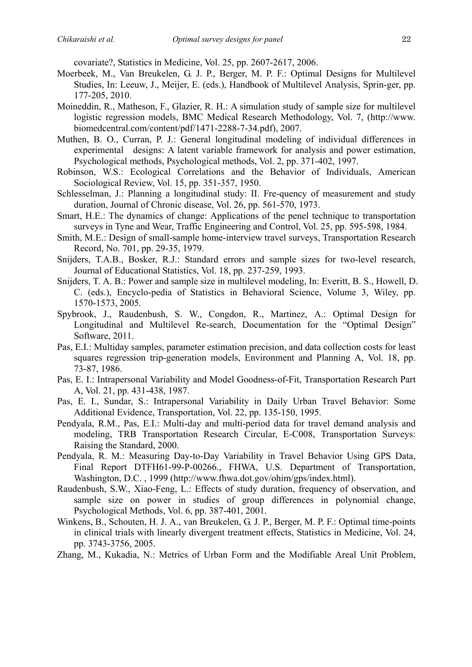covariate?, Statistics in Medicine, Vol. 25, pp. 2607-2617, 2006.

- Moerbeek, M., Van Breukelen, G. J. P., Berger, M. P. F.: Optimal Designs for Multilevel Studies, In: Leeuw, J., Meijer, E. (eds.), Handbook of Multilevel Analysis, Sprin-ger, pp. 177-205, 2010.
- Moineddin, R., Matheson, F., Glazier, R. H.: A simulation study of sample size for multilevel logistic regression models, BMC Medical Research Methodology, Vol. 7, (http://www. biomedcentral.com/content/pdf/1471-2288-7-34.pdf), 2007.
- Muthen, B. O., Curran, P. J.: General longitudinal modeling of individual differences in experimental designs: A latent variable framework for analysis and power estimation, Psychological methods, Psychological methods, Vol. 2, pp. 371-402, 1997.
- Robinson, W.S.: Ecological Correlations and the Behavior of Individuals, American Sociological Review, Vol. 15, pp. 351-357, 1950.
- Schlesselman, J.: Planning a longitudinal study: II. Fre-quency of measurement and study duration, Journal of Chronic disease, Vol. 26, pp. 561-570, 1973.
- Smart, H.E.: The dynamics of change: Applications of the penel technique to transportation surveys in Tyne and Wear, Traffic Engineering and Control, Vol. 25, pp. 595-598, 1984.
- Smith, M.E.: Design of small-sample home-interview travel surveys, Transportation Research Record, No. 701, pp. 29-35, 1979.
- Snijders, T.A.B., Bosker, R.J.: Standard errors and sample sizes for two-level research, Journal of Educational Statistics, Vol. 18, pp. 237-259, 1993.
- Snijders, T. A. B.: Power and sample size in multilevel modeling, In: Everitt, B. S., Howell, D. C. (eds.), Encyclo-pedia of Statistics in Behavioral Science, Volume 3, Wiley, pp. 1570-1573, 2005.
- Spybrook, J., Raudenbush, S. W., Congdon, R., Martinez, A.: Optimal Design for Longitudinal and Multilevel Re-search, Documentation for the "Optimal Design" Software, 2011.
- Pas, E.I.: Multiday samples, parameter estimation precision, and data collection costs for least squares regression trip-generation models, Environment and Planning A, Vol. 18, pp. 73-87, 1986.
- Pas, E. I.: Intrapersonal Variability and Model Goodness-of-Fit, Transportation Research Part A, Vol. 21, pp. 431-438, 1987.
- Pas, E. I., Sundar, S.: Intrapersonal Variability in Daily Urban Travel Behavior: Some Additional Evidence, Transportation, Vol. 22, pp. 135-150, 1995.
- Pendyala, R.M., Pas, E.I.: Multi-day and multi-period data for travel demand analysis and modeling, TRB Transportation Research Circular, E-C008, Transportation Surveys: Raising the Standard, 2000.
- Pendyala, R. M.: Measuring Day-to-Day Variability in Travel Behavior Using GPS Data, Final Report DTFH61-99-P-00266., FHWA, U.S. Department of Transportation, Washington, D.C. , 1999 (http://www.fhwa.dot.gov/ohim/gps/index.html).
- Raudenbush, S.W., Xiao-Feng, L.: Effects of study duration, frequency of observation, and sample size on power in studies of group differences in polynomial change, Psychological Methods, Vol. 6, pp. 387-401, 2001.
- Winkens, B., Schouten, H. J. A., van Breukelen, G. J. P., Berger, M. P. F.: Optimal time-points in clinical trials with linearly divergent treatment effects, Statistics in Medicine, Vol. 24, pp. 3743-3756, 2005.
- Zhang, M., Kukadia, N.: Metrics of Urban Form and the Modifiable Areal Unit Problem,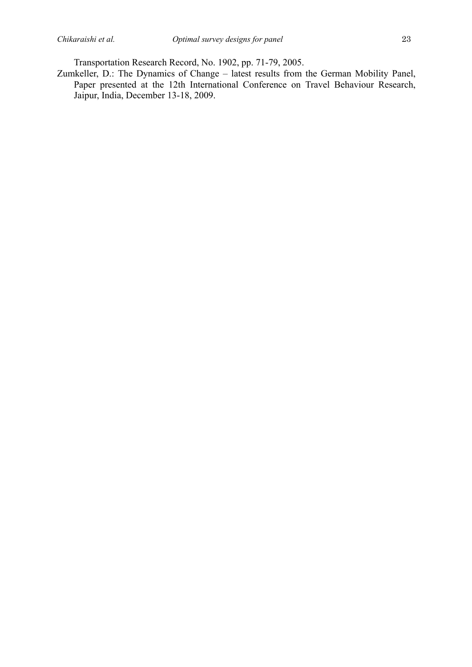Transportation Research Record, No. 1902, pp. 71-79, 2005.

Zumkeller, D.: The Dynamics of Change – latest results from the German Mobility Panel, Paper presented at the 12th International Conference on Travel Behaviour Research, Jaipur, India, December 13-18, 2009.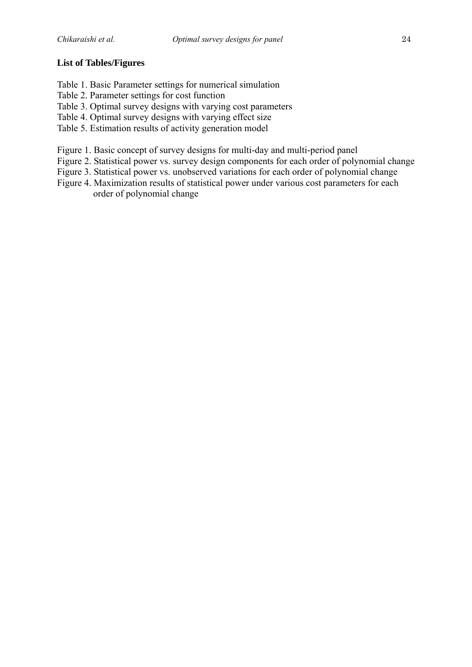#### **List of Tables/Figures**

- Table 1. Basic Parameter settings for numerical simulation
- Table 2. Parameter settings for cost function
- Table 3. Optimal survey designs with varying cost parameters
- Table 4. Optimal survey designs with varying effect size
- Table 5. Estimation results of activity generation model
- Figure 1. Basic concept of survey designs for multi-day and multi-period panel
- Figure 2. Statistical power vs. survey design components for each order of polynomial change
- Figure 3. Statistical power vs. unobserved variations for each order of polynomial change
- Figure 4. Maximization results of statistical power under various cost parameters for each order of polynomial change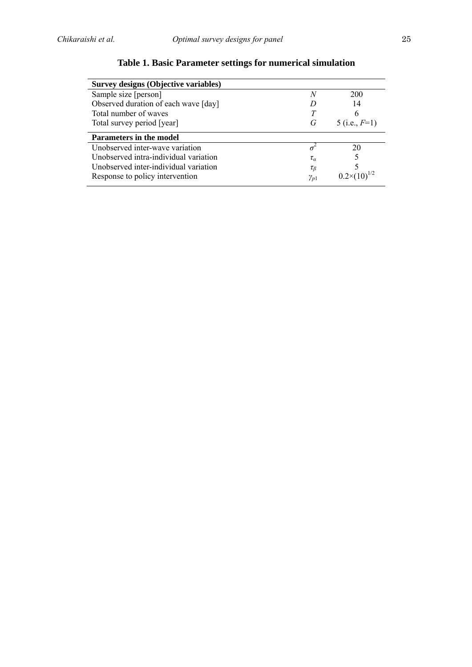| <b>Survey designs (Objective variables)</b> |                |                       |
|---------------------------------------------|----------------|-----------------------|
| Sample size [person]                        | N              | 200                   |
| Observed duration of each wave [day]        |                | 14                    |
| Total number of waves                       |                | 6                     |
| Total survey period [year]                  | G              | 5 (i.e., $F=1$ )      |
|                                             |                |                       |
| <b>Parameters in the model</b>              |                |                       |
| Unobserved inter-wave variation             |                | 20                    |
| Unobserved intra-individual variation       | $\tau_a$       |                       |
| Unobserved inter-individual variation       | $\tau_{\beta}$ | $0.2\times(10)^{1/2}$ |

# **Table 1. Basic Parameter settings for numerical simulation**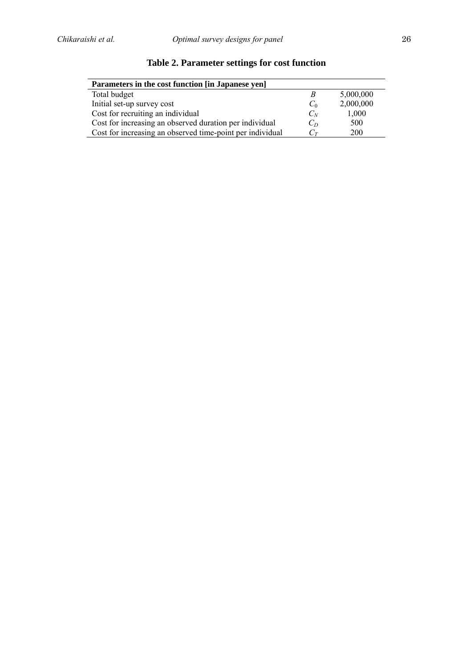| Parameters in the cost function [in Japanese yen]         |                   |           |  |  |  |  |
|-----------------------------------------------------------|-------------------|-----------|--|--|--|--|
| Total budget                                              | В                 | 5,000,000 |  |  |  |  |
| Initial set-up survey cost                                | $C_0$             | 2,000,000 |  |  |  |  |
| Cost for recruiting an individual                         | $C_N$             | 1,000     |  |  |  |  |
| Cost for increasing an observed duration per individual   | $C_D$             | 500       |  |  |  |  |
| Cost for increasing an observed time-point per individual | $C_{\mathcal{T}}$ | 200       |  |  |  |  |

# **Table 2. Parameter settings for cost function**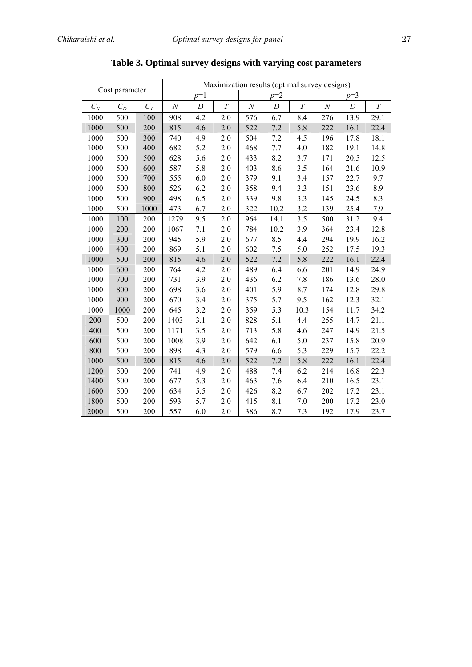| Cost parameter |       |       |                |     | Maximization results (optimal survey designs) |          |                  |          |          |      |          |
|----------------|-------|-------|----------------|-----|-----------------------------------------------|----------|------------------|----------|----------|------|----------|
|                |       |       | $p=2$<br>$p=1$ |     |                                               | $p=3$    |                  |          |          |      |          |
| $C_N$          | $C_D$ | $C_T$ | $\cal N$       | D   | $\cal T$                                      | $\cal N$ | $\boldsymbol{D}$ | $\cal T$ | $\cal N$ | D    | $\cal T$ |
| 1000           | 500   | 100   | 908            | 4.2 | 2.0                                           | 576      | 6.7              | 8.4      | 276      | 13.9 | 29.1     |
| 1000           | 500   | 200   | 815            | 4.6 | 2.0                                           | 522      | 7.2              | 5.8      | 222      | 16.1 | 22.4     |
| 1000           | 500   | 300   | 740            | 4.9 | 2.0                                           | 504      | 7.2              | 4.5      | 196      | 17.8 | 18.1     |
| 1000           | 500   | 400   | 682            | 5.2 | 2.0                                           | 468      | 7.7              | 4.0      | 182      | 19.1 | 14.8     |
| 1000           | 500   | 500   | 628            | 5.6 | 2.0                                           | 433      | 8.2              | 3.7      | 171      | 20.5 | 12.5     |
| 1000           | 500   | 600   | 587            | 5.8 | 2.0                                           | 403      | 8.6              | 3.5      | 164      | 21.6 | 10.9     |
| 1000           | 500   | 700   | 555            | 6.0 | $2.0\,$                                       | 379      | 9.1              | 3.4      | 157      | 22.7 | 9.7      |
| 1000           | 500   | 800   | 526            | 6.2 | 2.0                                           | 358      | 9.4              | 3.3      | 151      | 23.6 | 8.9      |
| 1000           | 500   | 900   | 498            | 6.5 | 2.0                                           | 339      | 9.8              | 3.3      | 145      | 24.5 | 8.3      |
| 1000           | 500   | 1000  | 473            | 6.7 | 2.0                                           | 322      | 10.2             | 3.2      | 139      | 25.4 | 7.9      |
| 1000           | 100   | 200   | 1279           | 9.5 | 2.0                                           | 964      | 14.1             | 3.5      | 500      | 31.2 | 9.4      |
| 1000           | 200   | 200   | 1067           | 7.1 | 2.0                                           | 784      | 10.2             | 3.9      | 364      | 23.4 | 12.8     |
| 1000           | 300   | 200   | 945            | 5.9 | 2.0                                           | 677      | 8.5              | 4.4      | 294      | 19.9 | 16.2     |
| 1000           | 400   | 200   | 869            | 5.1 | 2.0                                           | 602      | 7.5              | 5.0      | 252      | 17.5 | 19.3     |
| 1000           | 500   | 200   | 815            | 4.6 | 2.0                                           | 522      | 7.2              | 5.8      | 222      | 16.1 | 22.4     |
| 1000           | 600   | 200   | 764            | 4.2 | 2.0                                           | 489      | 6.4              | 6.6      | 201      | 14.9 | 24.9     |
| 1000           | 700   | 200   | 731            | 3.9 | 2.0                                           | 436      | 6.2              | 7.8      | 186      | 13.6 | 28.0     |
| 1000           | 800   | 200   | 698            | 3.6 | 2.0                                           | 401      | 5.9              | 8.7      | 174      | 12.8 | 29.8     |
| 1000           | 900   | 200   | 670            | 3.4 | 2.0                                           | 375      | 5.7              | 9.5      | 162      | 12.3 | 32.1     |
| 1000           | 1000  | 200   | 645            | 3.2 | 2.0                                           | 359      | 5.3              | 10.3     | 154      | 11.7 | 34.2     |
| 200            | 500   | 200   | 1403           | 3.1 | 2.0                                           | 828      | 5.1              | 4.4      | 255      | 14.7 | 21.1     |
| 400            | 500   | 200   | 1171           | 3.5 | 2.0                                           | 713      | 5.8              | 4.6      | 247      | 14.9 | 21.5     |
| 600            | 500   | 200   | 1008           | 3.9 | 2.0                                           | 642      | 6.1              | 5.0      | 237      | 15.8 | 20.9     |
| 800            | 500   | 200   | 898            | 4.3 | 2.0                                           | 579      | 6.6              | 5.3      | 229      | 15.7 | 22.2     |
| 1000           | 500   | 200   | 815            | 4.6 | 2.0                                           | 522      | 7.2              | 5.8      | 222      | 16.1 | 22.4     |
| 1200           | 500   | 200   | 741            | 4.9 | 2.0                                           | 488      | 7.4              | 6.2      | 214      | 16.8 | 22.3     |
| 1400           | 500   | 200   | 677            | 5.3 | 2.0                                           | 463      | 7.6              | 6.4      | 210      | 16.5 | 23.1     |
| 1600           | 500   | 200   | 634            | 5.5 | 2.0                                           | 426      | 8.2              | 6.7      | 202      | 17.2 | 23.1     |
| 1800           | 500   | 200   | 593            | 5.7 | 2.0                                           | 415      | 8.1              | 7.0      | 200      | 17.2 | 23.0     |
| 2000           | 500   | 200   | 557            | 6.0 | 2.0                                           | 386      | 8.7              | 7.3      | 192      | 17.9 | 23.7     |

**Table 3. Optimal survey designs with varying cost parameters**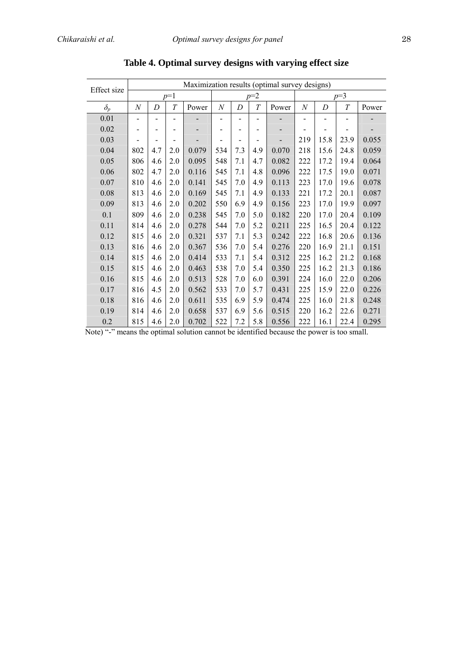| Effect size | Maximization results (optimal survey designs) |     |                              |       |          |                              |     |       |              |      |      |       |
|-------------|-----------------------------------------------|-----|------------------------------|-------|----------|------------------------------|-----|-------|--------------|------|------|-------|
|             | $p=1$                                         |     |                              |       | $p=2$    |                              |     |       | $p=3$        |      |      |       |
| $\delta_p$  | N                                             | D   | T                            | Power | $\cal N$ | D                            | T   | Power | $\mathcal N$ | D    | T    | Power |
| 0.01        |                                               |     |                              |       |          |                              |     |       |              |      |      |       |
| 0.02        |                                               |     |                              |       |          |                              |     |       |              |      |      |       |
| 0.03        |                                               | -   | $\qquad \qquad \blacksquare$ |       |          | $\qquad \qquad \blacksquare$ |     |       | 219          | 15.8 | 23.9 | 0.055 |
| 0.04        | 802                                           | 4.7 | 2.0                          | 0.079 | 534      | 7.3                          | 4.9 | 0.070 | 218          | 15.6 | 24.8 | 0.059 |
| 0.05        | 806                                           | 4.6 | 2.0                          | 0.095 | 548      | 7.1                          | 4.7 | 0.082 | 222          | 17.2 | 19.4 | 0.064 |
| 0.06        | 802                                           | 4.7 | 2.0                          | 0.116 | 545      | 7.1                          | 4.8 | 0.096 | 222          | 17.5 | 19.0 | 0.071 |
| 0.07        | 810                                           | 4.6 | 2.0                          | 0.141 | 545      | 7.0                          | 4.9 | 0.113 | 223          | 17.0 | 19.6 | 0.078 |
| 0.08        | 813                                           | 4.6 | 2.0                          | 0.169 | 545      | 7.1                          | 4.9 | 0.133 | 221          | 17.2 | 20.1 | 0.087 |
| 0.09        | 813                                           | 4.6 | 2.0                          | 0.202 | 550      | 6.9                          | 4.9 | 0.156 | 223          | 17.0 | 19.9 | 0.097 |
| 0.1         | 809                                           | 4.6 | 2.0                          | 0.238 | 545      | 7.0                          | 5.0 | 0.182 | 220          | 17.0 | 20.4 | 0.109 |
| 0.11        | 814                                           | 4.6 | 2.0                          | 0.278 | 544      | 7.0                          | 5.2 | 0.211 | 225          | 16.5 | 20.4 | 0.122 |
| 0.12        | 815                                           | 4.6 | 2.0                          | 0.321 | 537      | 7.1                          | 5.3 | 0.242 | 222          | 16.8 | 20.6 | 0.136 |
| 0.13        | 816                                           | 4.6 | 2.0                          | 0.367 | 536      | 7.0                          | 5.4 | 0.276 | 220          | 16.9 | 21.1 | 0.151 |
| 0.14        | 815                                           | 4.6 | 2.0                          | 0.414 | 533      | 7.1                          | 5.4 | 0.312 | 225          | 16.2 | 21.2 | 0.168 |
| 0.15        | 815                                           | 4.6 | 2.0                          | 0.463 | 538      | 7.0                          | 5.4 | 0.350 | 225          | 16.2 | 21.3 | 0.186 |
| 0.16        | 815                                           | 4.6 | 2.0                          | 0.513 | 528      | 7.0                          | 6.0 | 0.391 | 224          | 16.0 | 22.0 | 0.206 |
| 0.17        | 816                                           | 4.5 | 2.0                          | 0.562 | 533      | 7.0                          | 5.7 | 0.431 | 225          | 15.9 | 22.0 | 0.226 |
| 0.18        | 816                                           | 4.6 | 2.0                          | 0.611 | 535      | 6.9                          | 5.9 | 0.474 | 225          | 16.0 | 21.8 | 0.248 |
| 0.19        | 814                                           | 4.6 | 2.0                          | 0.658 | 537      | 6.9                          | 5.6 | 0.515 | 220          | 16.2 | 22.6 | 0.271 |
| 0.2         | 815                                           | 4.6 | 2.0                          | 0.702 | 522      | 7.2                          | 5.8 | 0.556 | 222          | 16.1 | 22.4 | 0.295 |

**Table 4. Optimal survey designs with varying effect size** 

Note) "-" means the optimal solution cannot be identified because the power is too small.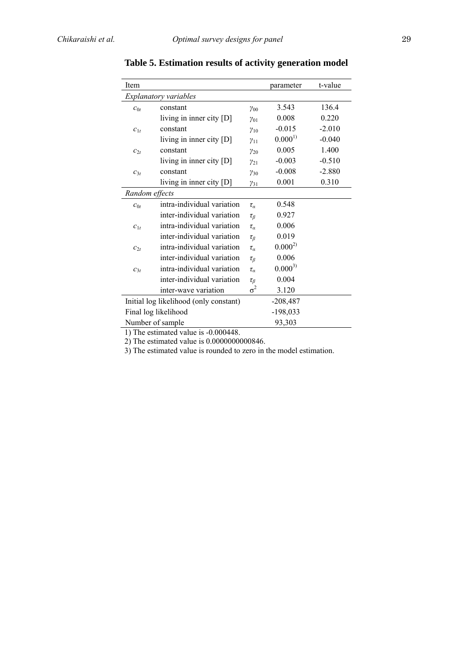| Item                                   |                            | parameter      | t-value     |          |
|----------------------------------------|----------------------------|----------------|-------------|----------|
|                                        | Explanatory variables      |                |             |          |
| $c_{0t}$                               | constant                   | $\gamma_{00}$  | 3.543       | 136.4    |
|                                        | living in inner city $[D]$ | $\gamma_{01}$  | 0.008       | 0.220    |
| $c_{1t}$                               | constant                   | $\gamma_{10}$  | $-0.015$    | $-2.010$ |
|                                        | living in inner city $[D]$ | $y_{11}$       | $0.000^{1}$ | $-0.040$ |
| $c_{2t}$                               | constant                   | $\gamma_{20}$  | 0.005       | 1.400    |
|                                        | living in inner city [D]   | $y_{21}$       | $-0.003$    | $-0.510$ |
| $c_{3t}$                               | constant                   | $y_{30}$       | $-0.008$    | $-2.880$ |
|                                        | living in inner city [D]   | $y_{31}$       | 0.001       | 0.310    |
| Random effects                         |                            |                |             |          |
| $c_{0t}$                               | intra-individual variation | $\tau_a$       | 0.548       |          |
|                                        | inter-individual variation | $\tau_{\beta}$ | 0.927       |          |
| $c_{1t}$                               | intra-individual variation | $\tau_\alpha$  | 0.006       |          |
|                                        | inter-individual variation | $\tau_{\beta}$ | 0.019       |          |
| $c_{2t}$                               | intra-individual variation | $\tau_a$       | $0.000^{2}$ |          |
|                                        | inter-individual variation | $\tau_{\beta}$ | 0.006       |          |
| $c_{3t}$                               | intra-individual variation | $\tau_a$       | $0.000^{3}$ |          |
|                                        | inter-individual variation | $\tau_\beta$   | 0.004       |          |
|                                        | inter-wave variation       | $\sigma^2$     | 3.120       |          |
| Initial log likelihood (only constant) |                            |                | $-208,487$  |          |
|                                        | Final log likelihood       |                | $-198,033$  |          |
|                                        | Number of sample           |                | 93,303      |          |

**Table 5. Estimation results of activity generation model** 

1) The estimated value is -0.000448.

2) The estimated value is 0.0000000000846.

3) The estimated value is rounded to zero in the model estimation.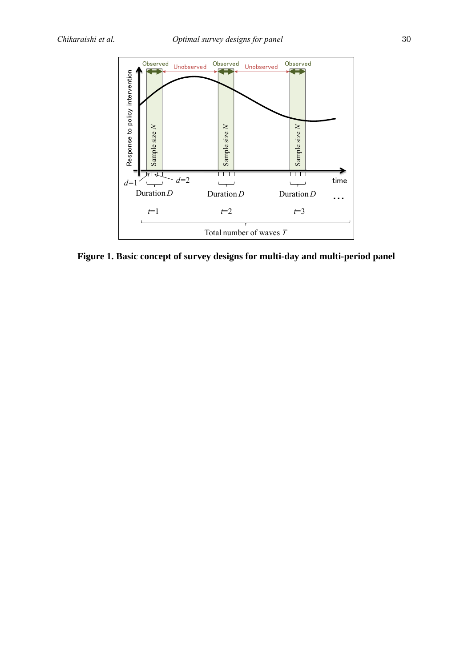

**Figure 1. Basic concept of survey designs for multi-day and multi-period panel**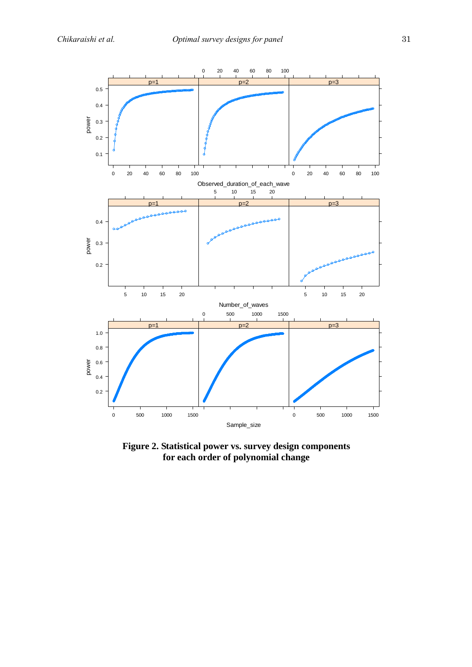

**Figure 2. Statistical power vs. survey design components for each order of polynomial change**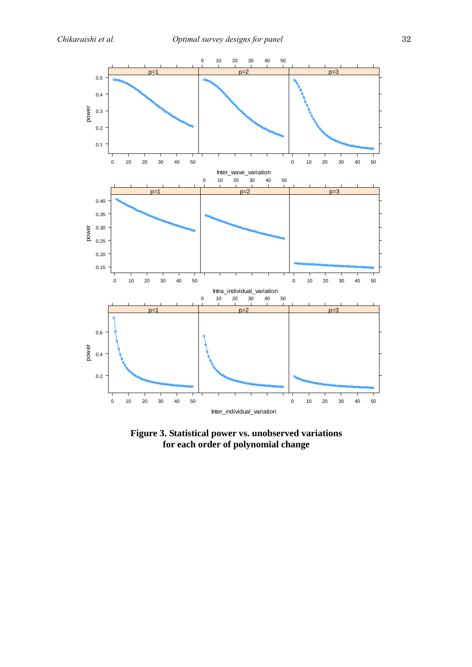

**Figure 3. Statistical power vs. unobserved variations for each order of polynomial change**